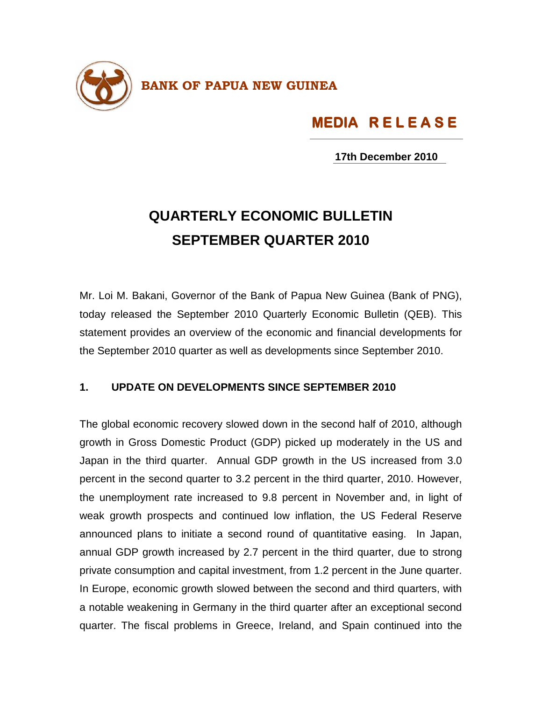

## **MEDIA R E L E A S E MEDIA R E L E A S E S E**

**17th December 2010**

## **QUARTERLY ECONOMIC BULLETIN SEPTEMBER QUARTER 2010**

Mr. Loi M. Bakani, Governor of the Bank of Papua New Guinea (Bank of PNG), today released the September 2010 Quarterly Economic Bulletin (QEB). This statement provides an overview of the economic and financial developments for the September 2010 quarter as well as developments since September 2010.

## **1. UPDATE ON DEVELOPMENTS SINCE SEPTEMBER 2010**

The global economic recovery slowed down in the second half of 2010, although growth in Gross Domestic Product (GDP) picked up moderately in the US and Japan in the third quarter. Annual GDP growth in the US increased from 3.0 percent in the second quarter to 3.2 percent in the third quarter, 2010. However, the unemployment rate increased to 9.8 percent in November and, in light of weak growth prospects and continued low inflation, the US Federal Reserve announced plans to initiate a second round of quantitative easing. In Japan, annual GDP growth increased by 2.7 percent in the third quarter, due to strong private consumption and capital investment, from 1.2 percent in the June quarter. In Europe, economic growth slowed between the second and third quarters, with a notable weakening in Germany in the third quarter after an exceptional second quarter. The fiscal problems in Greece, Ireland, and Spain continued into the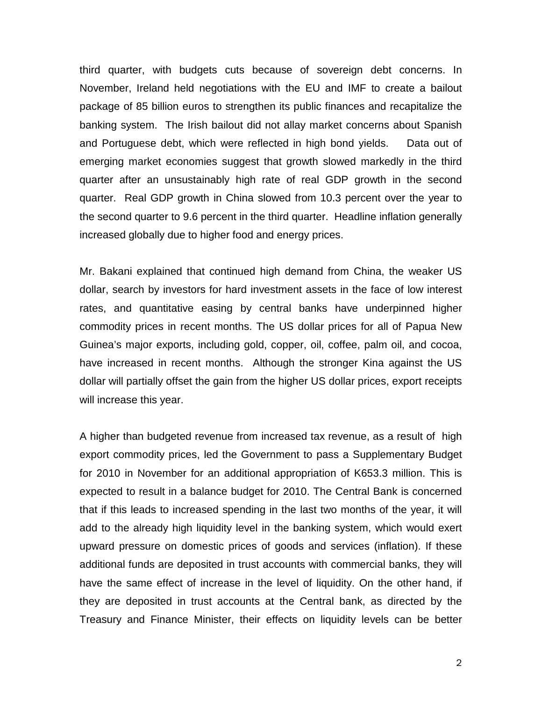third quarter, with budgets cuts because of sovereign debt concerns. In November, Ireland held negotiations with the EU and IMF to create a bailout package of 85 billion euros to strengthen its public finances and recapitalize the banking system. The Irish bailout did not allay market concerns about Spanish and Portuguese debt, which were reflected in high bond yields. Data out of emerging market economies suggest that growth slowed markedly in the third quarter after an unsustainably high rate of real GDP growth in the second quarter. Real GDP growth in China slowed from 10.3 percent over the year to the second quarter to 9.6 percent in the third quarter. Headline inflation generally increased globally due to higher food and energy prices.

Mr. Bakani explained that continued high demand from China, the weaker US dollar, search by investors for hard investment assets in the face of low interest rates, and quantitative easing by central banks have underpinned higher commodity prices in recent months. The US dollar prices for all of Papua New Guinea's major exports, including gold, copper, oil, coffee, palm oil, and cocoa, have increased in recent months. Although the stronger Kina against the US dollar will partially offset the gain from the higher US dollar prices, export receipts will increase this year.

A higher than budgeted revenue from increased tax revenue, as a result of high export commodity prices, led the Government to pass a Supplementary Budget for 2010 in November for an additional appropriation of K653.3 million. This is expected to result in a balance budget for 2010. The Central Bank is concerned that if this leads to increased spending in the last two months of the year, it will add to the already high liquidity level in the banking system, which would exert upward pressure on domestic prices of goods and services (inflation). If these additional funds are deposited in trust accounts with commercial banks, they will have the same effect of increase in the level of liquidity. On the other hand, if they are deposited in trust accounts at the Central bank, as directed by the Treasury and Finance Minister, their effects on liquidity levels can be better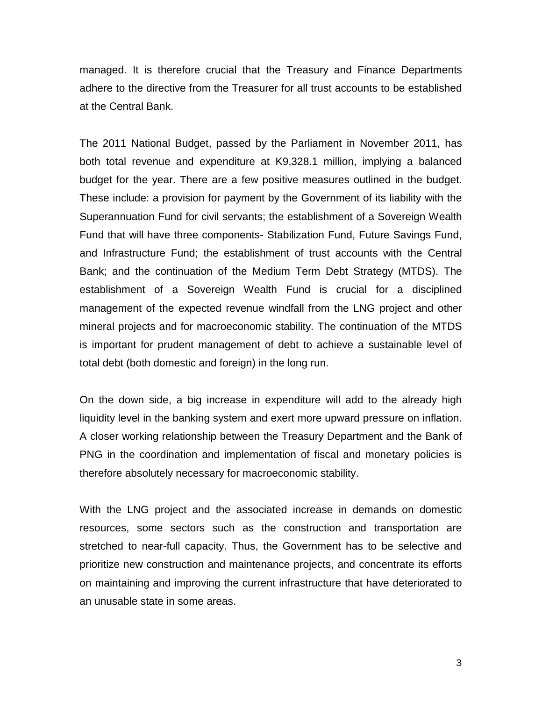managed. It is therefore crucial that the Treasury and Finance Departments adhere to the directive from the Treasurer for all trust accounts to be established at the Central Bank.

The 2011 National Budget, passed by the Parliament in November 2011, has both total revenue and expenditure at K9,328.1 million, implying a balanced budget for the year. There are a few positive measures outlined in the budget. These include: a provision for payment by the Government of its liability with the Superannuation Fund for civil servants; the establishment of a Sovereign Wealth Fund that will have three components- Stabilization Fund, Future Savings Fund, and Infrastructure Fund; the establishment of trust accounts with the Central Bank; and the continuation of the Medium Term Debt Strategy (MTDS). The establishment of a Sovereign Wealth Fund is crucial for a disciplined management of the expected revenue windfall from the LNG project and other mineral projects and for macroeconomic stability. The continuation of the MTDS is important for prudent management of debt to achieve a sustainable level of total debt (both domestic and foreign) in the long run.

On the down side, a big increase in expenditure will add to the already high liquidity level in the banking system and exert more upward pressure on inflation. A closer working relationship between the Treasury Department and the Bank of PNG in the coordination and implementation of fiscal and monetary policies is therefore absolutely necessary for macroeconomic stability.

With the LNG project and the associated increase in demands on domestic resources, some sectors such as the construction and transportation are stretched to near-full capacity. Thus, the Government has to be selective and prioritize new construction and maintenance projects, and concentrate its efforts on maintaining and improving the current infrastructure that have deteriorated to an unusable state in some areas.

3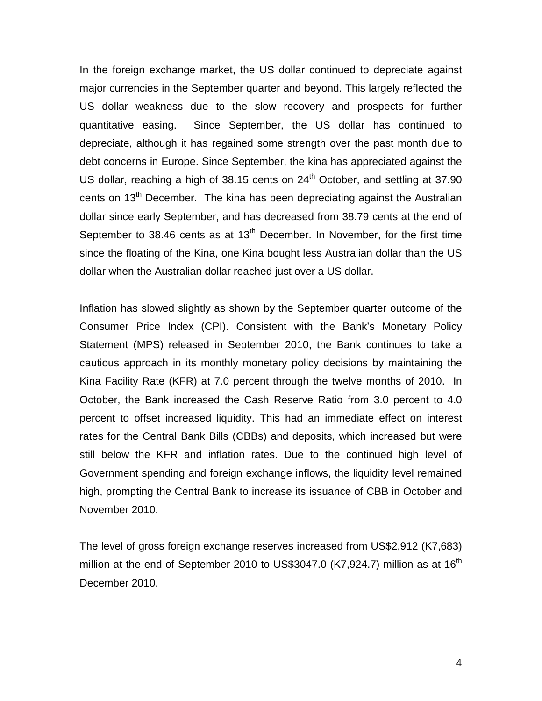In the foreign exchange market, the US dollar continued to depreciate against major currencies in the September quarter and beyond. This largely reflected the US dollar weakness due to the slow recovery and prospects for further quantitative easing. Since September, the US dollar has continued to depreciate, although it has regained some strength over the past month due to debt concerns in Europe. Since September, the kina has appreciated against the US dollar, reaching a high of 38.15 cents on  $24<sup>th</sup>$  October, and settling at 37.90 cents on 13<sup>th</sup> December. The kina has been depreciating against the Australian dollar since early September, and has decreased from 38.79 cents at the end of September to 38.46 cents as at  $13<sup>th</sup>$  December. In November, for the first time since the floating of the Kina, one Kina bought less Australian dollar than the US dollar when the Australian dollar reached just over a US dollar.

Inflation has slowed slightly as shown by the September quarter outcome of the Consumer Price Index (CPI). Consistent with the Bank's Monetary Policy Statement (MPS) released in September 2010, the Bank continues to take a cautious approach in its monthly monetary policy decisions by maintaining the Kina Facility Rate (KFR) at 7.0 percent through the twelve months of 2010. In October, the Bank increased the Cash Reserve Ratio from 3.0 percent to 4.0 percent to offset increased liquidity. This had an immediate effect on interest rates for the Central Bank Bills (CBBs) and deposits, which increased but were still below the KFR and inflation rates. Due to the continued high level of Government spending and foreign exchange inflows, the liquidity level remained high, prompting the Central Bank to increase its issuance of CBB in October and November 2010.

The level of gross foreign exchange reserves increased from US\$2,912 (K7,683) million at the end of September 2010 to US\$3047.0 (K7,924.7) million as at  $16<sup>th</sup>$ December 2010.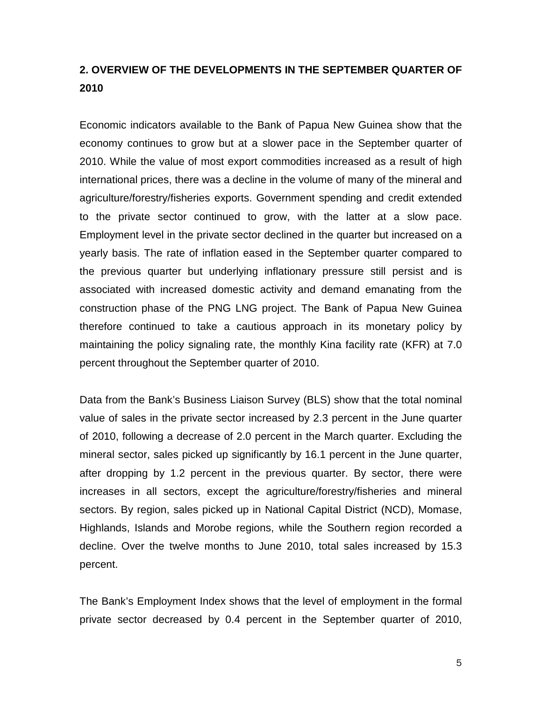## **2. OVERVIEW OF THE DEVELOPMENTS IN THE SEPTEMBER QUARTER OF 2010**

Economic indicators available to the Bank of Papua New Guinea show that the economy continues to grow but at a slower pace in the September quarter of 2010. While the value of most export commodities increased as a result of high international prices, there was a decline in the volume of many of the mineral and agriculture/forestry/fisheries exports. Government spending and credit extended to the private sector continued to grow, with the latter at a slow pace. Employment level in the private sector declined in the quarter but increased on a yearly basis. The rate of inflation eased in the September quarter compared to the previous quarter but underlying inflationary pressure still persist and is associated with increased domestic activity and demand emanating from the construction phase of the PNG LNG project. The Bank of Papua New Guinea therefore continued to take a cautious approach in its monetary policy by maintaining the policy signaling rate, the monthly Kina facility rate (KFR) at 7.0 percent throughout the September quarter of 2010.

Data from the Bank's Business Liaison Survey (BLS) show that the total nominal value of sales in the private sector increased by 2.3 percent in the June quarter of 2010, following a decrease of 2.0 percent in the March quarter. Excluding the mineral sector, sales picked up significantly by 16.1 percent in the June quarter, after dropping by 1.2 percent in the previous quarter. By sector, there were increases in all sectors, except the agriculture/forestry/fisheries and mineral sectors. By region, sales picked up in National Capital District (NCD), Momase, Highlands, Islands and Morobe regions, while the Southern region recorded a decline. Over the twelve months to June 2010, total sales increased by 15.3 percent.

The Bank's Employment Index shows that the level of employment in the formal private sector decreased by 0.4 percent in the September quarter of 2010,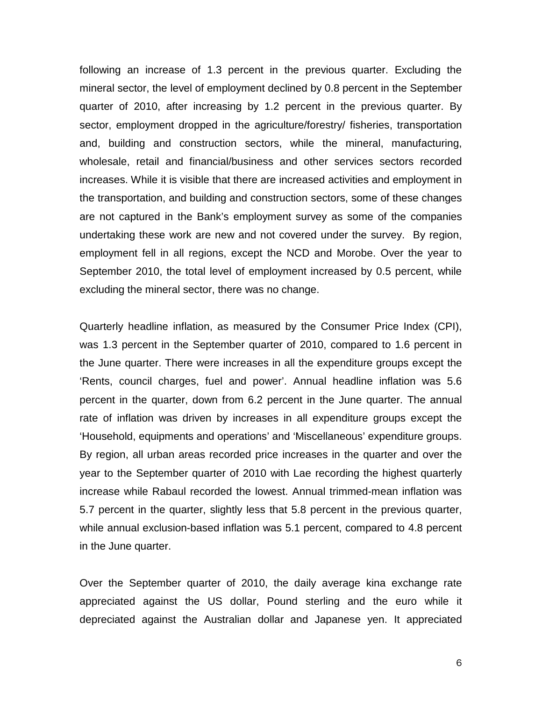following an increase of 1.3 percent in the previous quarter. Excluding the mineral sector, the level of employment declined by 0.8 percent in the September quarter of 2010, after increasing by 1.2 percent in the previous quarter. By sector, employment dropped in the agriculture/forestry/ fisheries, transportation and, building and construction sectors, while the mineral, manufacturing, wholesale, retail and financial/business and other services sectors recorded increases. While it is visible that there are increased activities and employment in the transportation, and building and construction sectors, some of these changes are not captured in the Bank's employment survey as some of the companies undertaking these work are new and not covered under the survey. By region, employment fell in all regions, except the NCD and Morobe. Over the year to September 2010, the total level of employment increased by 0.5 percent, while excluding the mineral sector, there was no change.

Quarterly headline inflation, as measured by the Consumer Price Index (CPI), was 1.3 percent in the September quarter of 2010, compared to 1.6 percent in the June quarter. There were increases in all the expenditure groups except the 'Rents, council charges, fuel and power'. Annual headline inflation was 5.6 percent in the quarter, down from 6.2 percent in the June quarter. The annual rate of inflation was driven by increases in all expenditure groups except the 'Household, equipments and operations' and 'Miscellaneous' expenditure groups. By region, all urban areas recorded price increases in the quarter and over the year to the September quarter of 2010 with Lae recording the highest quarterly increase while Rabaul recorded the lowest. Annual trimmed-mean inflation was 5.7 percent in the quarter, slightly less that 5.8 percent in the previous quarter, while annual exclusion-based inflation was 5.1 percent, compared to 4.8 percent in the June quarter.

Over the September quarter of 2010, the daily average kina exchange rate appreciated against the US dollar, Pound sterling and the euro while it depreciated against the Australian dollar and Japanese yen. It appreciated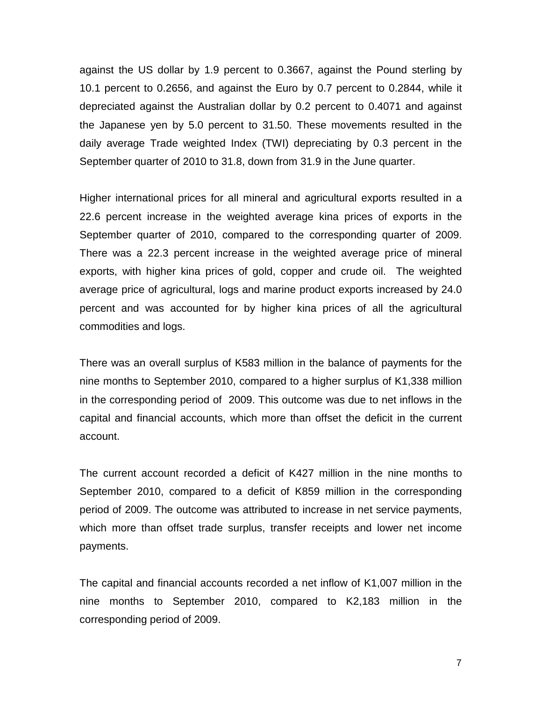against the US dollar by 1.9 percent to 0.3667, against the Pound sterling by 10.1 percent to 0.2656, and against the Euro by 0.7 percent to 0.2844, while it depreciated against the Australian dollar by 0.2 percent to 0.4071 and against the Japanese yen by 5.0 percent to 31.50. These movements resulted in the daily average Trade weighted Index (TWI) depreciating by 0.3 percent in the September quarter of 2010 to 31.8, down from 31.9 in the June quarter.

Higher international prices for all mineral and agricultural exports resulted in a 22.6 percent increase in the weighted average kina prices of exports in the September quarter of 2010, compared to the corresponding quarter of 2009. There was a 22.3 percent increase in the weighted average price of mineral exports, with higher kina prices of gold, copper and crude oil. The weighted average price of agricultural, logs and marine product exports increased by 24.0 percent and was accounted for by higher kina prices of all the agricultural commodities and logs.

There was an overall surplus of K583 million in the balance of payments for the nine months to September 2010, compared to a higher surplus of K1,338 million in the corresponding period of 2009. This outcome was due to net inflows in the capital and financial accounts, which more than offset the deficit in the current account.

The current account recorded a deficit of K427 million in the nine months to September 2010, compared to a deficit of K859 million in the corresponding period of 2009. The outcome was attributed to increase in net service payments, which more than offset trade surplus, transfer receipts and lower net income payments.

The capital and financial accounts recorded a net inflow of K1,007 million in the nine months to September 2010, compared to K2,183 million in the corresponding period of 2009.

7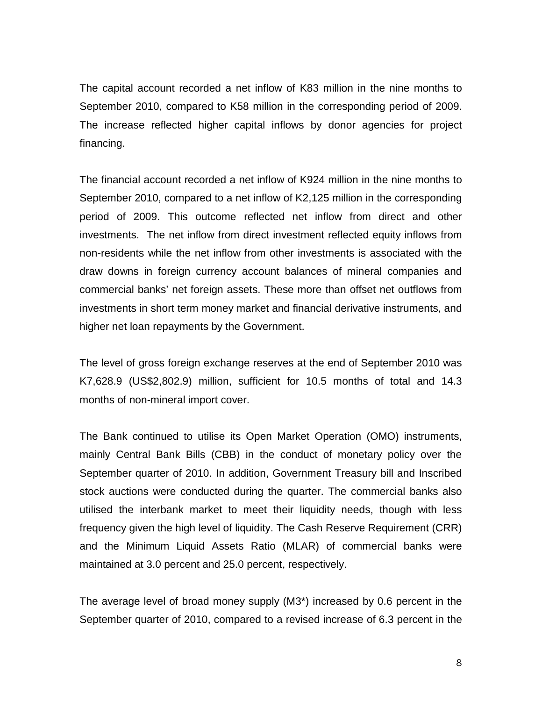The capital account recorded a net inflow of K83 million in the nine months to September 2010, compared to K58 million in the corresponding period of 2009. The increase reflected higher capital inflows by donor agencies for project financing.

The financial account recorded a net inflow of K924 million in the nine months to September 2010, compared to a net inflow of K2,125 million in the corresponding period of 2009. This outcome reflected net inflow from direct and other investments. The net inflow from direct investment reflected equity inflows from non-residents while the net inflow from other investments is associated with the draw downs in foreign currency account balances of mineral companies and commercial banks' net foreign assets. These more than offset net outflows from investments in short term money market and financial derivative instruments, and higher net loan repayments by the Government.

The level of gross foreign exchange reserves at the end of September 2010 was K7,628.9 (US\$2,802.9) million, sufficient for 10.5 months of total and 14.3 months of non-mineral import cover.

The Bank continued to utilise its Open Market Operation (OMO) instruments, mainly Central Bank Bills (CBB) in the conduct of monetary policy over the September quarter of 2010. In addition, Government Treasury bill and Inscribed stock auctions were conducted during the quarter. The commercial banks also utilised the interbank market to meet their liquidity needs, though with less frequency given the high level of liquidity. The Cash Reserve Requirement (CRR) and the Minimum Liquid Assets Ratio (MLAR) of commercial banks were maintained at 3.0 percent and 25.0 percent, respectively.

The average level of broad money supply (M3\*) increased by 0.6 percent in the September quarter of 2010, compared to a revised increase of 6.3 percent in the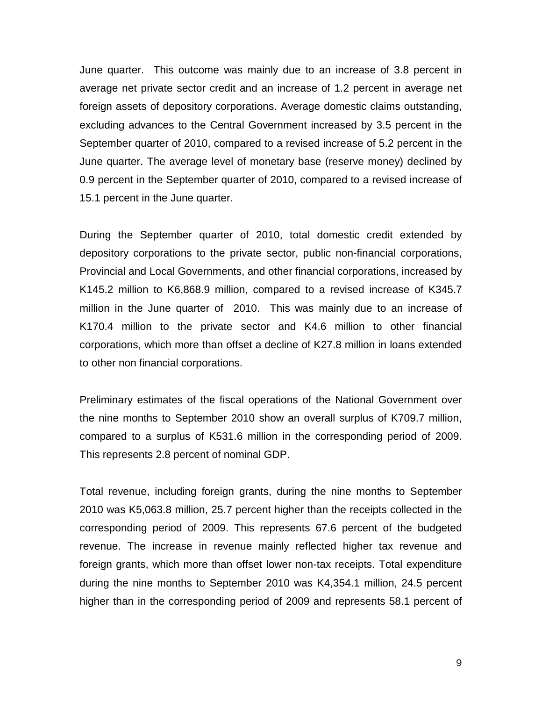June quarter. This outcome was mainly due to an increase of 3.8 percent in average net private sector credit and an increase of 1.2 percent in average net foreign assets of depository corporations. Average domestic claims outstanding, excluding advances to the Central Government increased by 3.5 percent in the September quarter of 2010, compared to a revised increase of 5.2 percent in the June quarter. The average level of monetary base (reserve money) declined by 0.9 percent in the September quarter of 2010, compared to a revised increase of 15.1 percent in the June quarter.

During the September quarter of 2010, total domestic credit extended by depository corporations to the private sector, public non-financial corporations, Provincial and Local Governments, and other financial corporations, increased by K145.2 million to K6,868.9 million, compared to a revised increase of K345.7 million in the June quarter of 2010. This was mainly due to an increase of K170.4 million to the private sector and K4.6 million to other financial corporations, which more than offset a decline of K27.8 million in loans extended to other non financial corporations.

Preliminary estimates of the fiscal operations of the National Government over the nine months to September 2010 show an overall surplus of K709.7 million, compared to a surplus of K531.6 million in the corresponding period of 2009. This represents 2.8 percent of nominal GDP.

Total revenue, including foreign grants, during the nine months to September 2010 was K5,063.8 million, 25.7 percent higher than the receipts collected in the corresponding period of 2009. This represents 67.6 percent of the budgeted revenue. The increase in revenue mainly reflected higher tax revenue and foreign grants, which more than offset lower non-tax receipts. Total expenditure during the nine months to September 2010 was K4,354.1 million, 24.5 percent higher than in the corresponding period of 2009 and represents 58.1 percent of